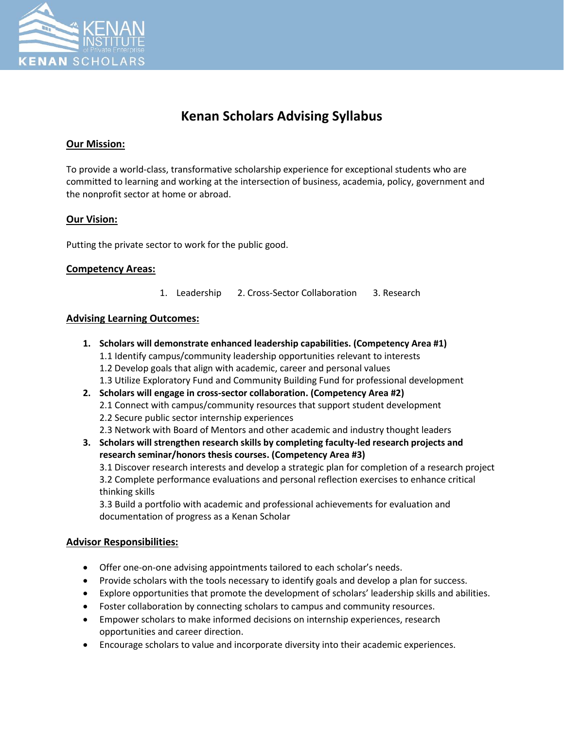

# **Kenan Scholars Advising Syllabus**

## **Our Mission:**

To provide a world-class, transformative scholarship experience for exceptional students who are committed to learning and working at the intersection of business, academia, policy, government and the nonprofit sector at home or abroad.

## **Our Vision:**

Putting the private sector to work for the public good.

#### **Competency Areas:**

1. Leadership 2. Cross-Sector Collaboration 3. Research

## **Advising Learning Outcomes:**

**1. Scholars will demonstrate enhanced leadership capabilities. (Competency Area #1)** 1.1 Identify campus/community leadership opportunities relevant to interests 1.2 Develop goals that align with academic, career and personal values 1.3 Utilize Exploratory Fund and Community Building Fund for professional development **2. Scholars will engage in cross-sector collaboration. (Competency Area #2)** 2.1 Connect with campus/community resources that support student development 2.2 Secure public sector internship experiences 2.3 Network with Board of Mentors and other academic and industry thought leaders **3. Scholars will strengthen research skills by completing faculty-led research projects and research seminar/honors thesis courses. (Competency Area #3)** 3.1 Discover research interests and develop a strategic plan for completion of a research project 3.2 Complete performance evaluations and personal reflection exercises to enhance critical thinking skills

3.3 Build a portfolio with academic and professional achievements for evaluation and documentation of progress as a Kenan Scholar

#### **Advisor Responsibilities:**

- Offer one-on-one advising appointments tailored to each scholar's needs.
- Provide scholars with the tools necessary to identify goals and develop a plan for success.
- Explore opportunities that promote the development of scholars' leadership skills and abilities.
- Foster collaboration by connecting scholars to campus and community resources.
- Empower scholars to make informed decisions on internship experiences, research opportunities and career direction.
- Encourage scholars to value and incorporate diversity into their academic experiences.